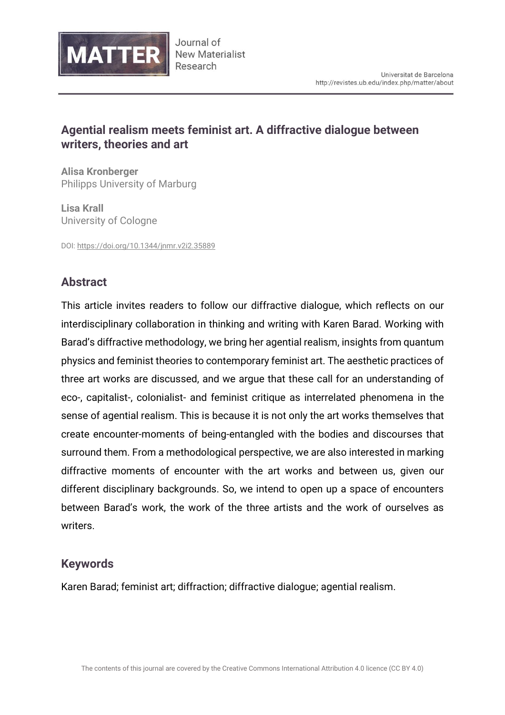

## **Agential realism meets feminist art. A diffractive dialogue between writers, theories and art**

**Alisa Kronberger** Philipps University of Marburg

**Lisa Krall** University of Cologne

DOI:<https://doi.org/10.1344/jnmr.v2i2.35889>

# **Abstract**

This article invites readers to follow our diffractive dialogue, which reflects on our interdisciplinary collaboration in thinking and writing with Karen Barad. Working with Barad's diffractive methodology, we bring her agential realism, insights from quantum physics and feminist theories to contemporary feminist art. The aesthetic practices of three art works are discussed, and we argue that these call for an understanding of eco-, capitalist-, colonialist- and feminist critique as interrelated phenomena in the sense of agential realism. This is because it is not only the art works themselves that create encounter-moments of being-entangled with the bodies and discourses that surround them. From a methodological perspective, we are also interested in marking diffractive moments of encounter with the art works and between us, given our different disciplinary backgrounds. So, we intend to open up a space of encounters between Barad's work, the work of the three artists and the work of ourselves as writers.

### **Keywords**

Karen Barad; feminist art; diffraction; diffractive dialogue; agential realism.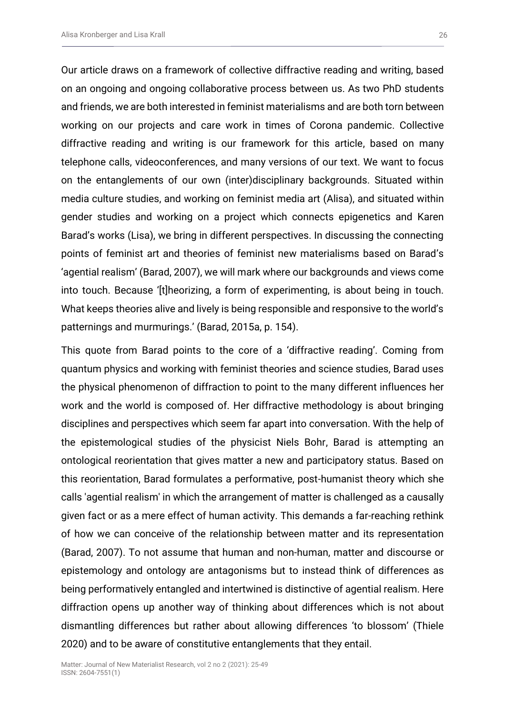Our article draws on a framework of collective diffractive reading and writing, based on an ongoing and ongoing collaborative process between us. As two PhD students and friends, we are both interested in feminist materialisms and are both torn between working on our projects and care work in times of Corona pandemic. Collective diffractive reading and writing is our framework for this article, based on many telephone calls, videoconferences, and many versions of our text. We want to focus on the entanglements of our own (inter)disciplinary backgrounds. Situated within media culture studies, and working on feminist media art (Alisa), and situated within gender studies and working on a project which connects epigenetics and Karen Barad's works (Lisa), we bring in different perspectives. In discussing the connecting points of feminist art and theories of feminist new materialisms based on Barad's 'agential realism' (Barad, 2007), we will mark where our backgrounds and views come into touch. Because '[t]heorizing, a form of experimenting, is about being in touch. What keeps theories alive and lively is being responsible and responsive to the world's patternings and murmurings.' (Barad, 2015a, p. 154).

This quote from Barad points to the core of a 'diffractive reading'. Coming from quantum physics and working with feminist theories and science studies, Barad uses the physical phenomenon of diffraction to point to the many different influences her work and the world is composed of. Her diffractive methodology is about bringing disciplines and perspectives which seem far apart into conversation. With the help of the epistemological studies of the physicist Niels Bohr, Barad is attempting an ontological reorientation that gives matter a new and participatory status. Based on this reorientation, Barad formulates a performative, post-humanist theory which she calls 'agential realism' in which the arrangement of matter is challenged as a causally given fact or as a mere effect of human activity. This demands a far-reaching rethink of how we can conceive of the relationship between matter and its representation (Barad, 2007). To not assume that human and non-human, matter and discourse or epistemology and ontology are antagonisms but to instead think of differences as being performatively entangled and intertwined is distinctive of agential realism. Here diffraction opens up another way of thinking about differences which is not about dismantling differences but rather about allowing differences 'to blossom' (Thiele 2020) and to be aware of constitutive entanglements that they entail.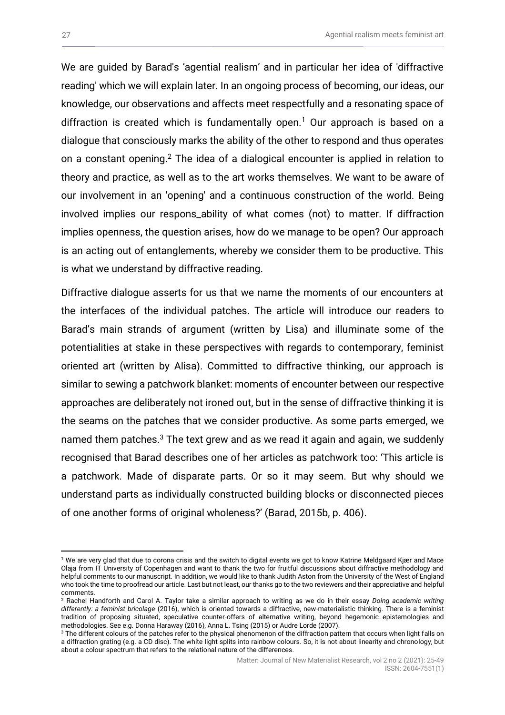We are guided by Barad's 'agential realism' and in particular her idea of 'diffractive reading' which we will explain later. In an ongoing process of becoming, our ideas, our knowledge, our observations and affects meet respectfully and a resonating space of diffraction is created which is fundamentally open.<sup>1</sup> Our approach is based on a dialogue that consciously marks the ability of the other to respond and thus operates on a constant opening.<sup>2</sup> The idea of a dialogical encounter is applied in relation to theory and practice, as well as to the art works themselves. We want to be aware of our involvement in an 'opening' and a continuous construction of the world. Being involved implies our respons\_ability of what comes (not) to matter. If diffraction implies openness, the question arises, how do we manage to be open? Our approach is an acting out of entanglements, whereby we consider them to be productive. This is what we understand by diffractive reading.

Diffractive dialogue asserts for us that we name the moments of our encounters at the interfaces of the individual patches. The article will introduce our readers to Barad's main strands of argument (written by Lisa) and illuminate some of the potentialities at stake in these perspectives with regards to contemporary, feminist oriented art (written by Alisa). Committed to diffractive thinking, our approach is similar to sewing a patchwork blanket: moments of encounter between our respective approaches are deliberately not ironed out, but in the sense of diffractive thinking it is the seams on the patches that we consider productive. As some parts emerged, we named them patches.<sup>3</sup> The text grew and as we read it again and again, we suddenly recognised that Barad describes one of her articles as patchwork too: 'This article is a patchwork. Made of disparate parts. Or so it may seem. But why should we understand parts as individually constructed building blocks or disconnected pieces of one another forms of original wholeness?' (Barad, 2015b, p. 406).

<sup>1</sup> We are very glad that due to corona crisis and the switch to digital events we got to know Katrine Meldgaard Kjær and Mace Olaja from IT University of Copenhagen and want to thank the two for fruitful discussions about diffractive methodology and helpful comments to our manuscript. In addition, we would like to thank Judith Aston from the University of the West of England who took the time to proofread our article. Last but not least, our thanks go to the two reviewers and their appreciative and helpful comments.

<sup>2</sup> Rachel Handforth and Carol A. Taylor take a similar approach to writing as we do in their essay *Doing academic writing differently: a feminist bricolage* (2016), which is oriented towards a diffractive, new-materialistic thinking. There is a feminist tradition of proposing situated, speculative counter-offers of alternative writing, beyond hegemonic epistemologies and methodologies. See e.g. Donna Haraway (2016), Anna L. Tsing (2015) or Audre Lorde (2007).

<sup>&</sup>lt;sup>3</sup> The different colours of the patches refer to the physical phenomenon of the diffraction pattern that occurs when light falls on a diffraction grating (e.g. a CD disc). The white light splits into rainbow colours. So, it is not about linearity and chronology, but about a colour spectrum that refers to the relational nature of the differences.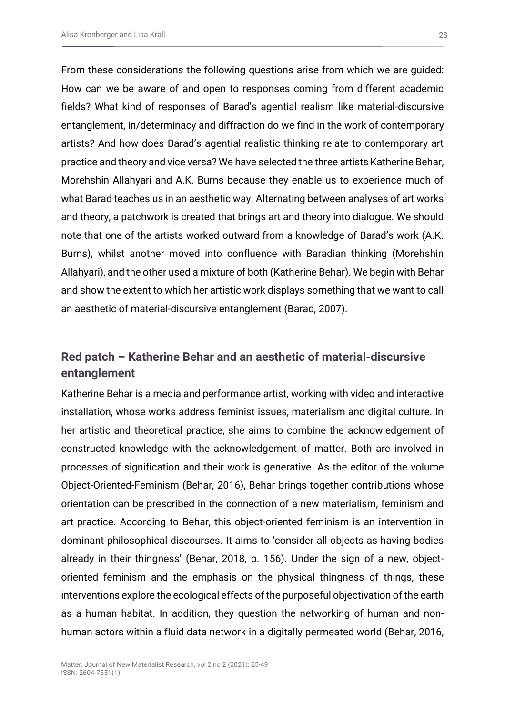From these considerations the following questions arise from which we are guided: How can we be aware of and open to responses coming from different academic fields? What kind of responses of Barad's agential realism like material-discursive entanglement, in/determinacy and diffraction do we find in the work of contemporary artists? And how does Barad's agential realistic thinking relate to contemporary art practice and theory and vice versa? We have selected the three artists Katherine Behar, Morehshin Allahyari and A.K. Burns because they enable us to experience much of what Barad teaches us in an aesthetic way. Alternating between analyses of art works and theory, a patchwork is created that brings art and theory into dialogue. We should note that one of the artists worked outward from a knowledge of Barad's work (A.K. Burns), whilst another moved into confluence with Baradian thinking (Morehshin Allahyari), and the other used a mixture of both (Katherine Behar). We begin with Behar and show the extent to which her artistic work displays something that we want to call an aesthetic of material-discursive entanglement (Barad, 2007).

# **Red patch – Katherine Behar and an aesthetic of material-discursive entanglement**

Katherine Behar is a media and performance artist, working with video and interactive installation, whose works address feminist issues, materialism and digital culture. In her artistic and theoretical practice, she aims to combine the acknowledgement of constructed knowledge with the acknowledgement of matter. Both are involved in processes of signification and their work is generative. As the editor of the volume Object-Oriented-Feminism (Behar, 2016), Behar brings together contributions whose orientation can be prescribed in the connection of a new materialism, feminism and art practice. According to Behar, this object-oriented feminism is an intervention in dominant philosophical discourses. It aims to 'consider all objects as having bodies already in their thingness' (Behar, 2018, p. 156). Under the sign of a new, objectoriented feminism and the emphasis on the physical thingness of things, these interventions explore the ecological effects of the purposeful objectivation of the earth as a human habitat. In addition, they question the networking of human and nonhuman actors within a fluid data network in a digitally permeated world (Behar, 2016,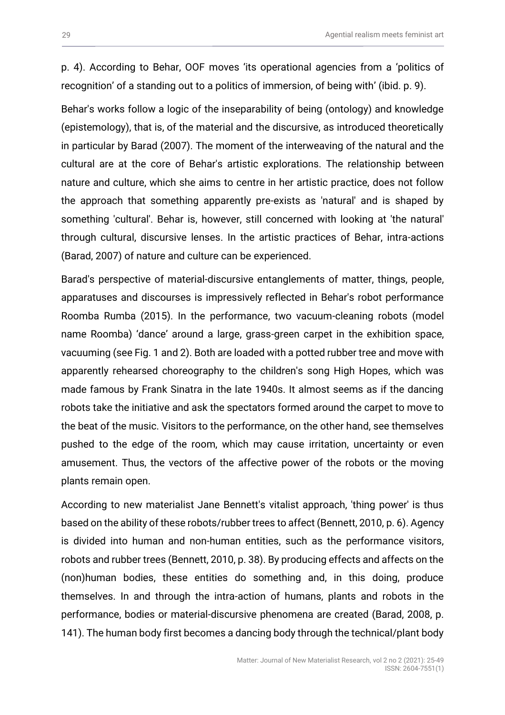p. 4). According to Behar, OOF moves 'its operational agencies from a 'politics of recognition' of a standing out to a politics of immersion, of being with' (ibid. p. 9).

Behar's works follow a logic of the inseparability of being (ontology) and knowledge (epistemology), that is, of the material and the discursive, as introduced theoretically in particular by Barad (2007). The moment of the interweaving of the natural and the cultural are at the core of Behar's artistic explorations. The relationship between nature and culture, which she aims to centre in her artistic practice, does not follow the approach that something apparently pre-exists as 'natural' and is shaped by something 'cultural'. Behar is, however, still concerned with looking at 'the natural' through cultural, discursive lenses. In the artistic practices of Behar, intra-actions (Barad, 2007) of nature and culture can be experienced.

Barad's perspective of material-discursive entanglements of matter, things, people, apparatuses and discourses is impressively reflected in Behar's robot performance Roomba Rumba (2015). In the performance, two vacuum-cleaning robots (model name Roomba) 'dance' around a large, grass-green carpet in the exhibition space, vacuuming (see Fig. 1 and 2). Both are loaded with a potted rubber tree and move with apparently rehearsed choreography to the children's song High Hopes, which was made famous by Frank Sinatra in the late 1940s. It almost seems as if the dancing robots take the initiative and ask the spectators formed around the carpet to move to the beat of the music. Visitors to the performance, on the other hand, see themselves pushed to the edge of the room, which may cause irritation, uncertainty or even amusement. Thus, the vectors of the affective power of the robots or the moving plants remain open.

According to new materialist Jane Bennett's vitalist approach, 'thing power' is thus based on the ability of these robots/rubber trees to affect (Bennett, 2010, p. 6). Agency is divided into human and non-human entities, such as the performance visitors, robots and rubber trees (Bennett, 2010, p. 38). By producing effects and affects on the (non)human bodies, these entities do something and, in this doing, produce themselves. In and through the intra-action of humans, plants and robots in the performance, bodies or material-discursive phenomena are created (Barad, 2008, p. 141). The human body first becomes a dancing body through the technical/plant body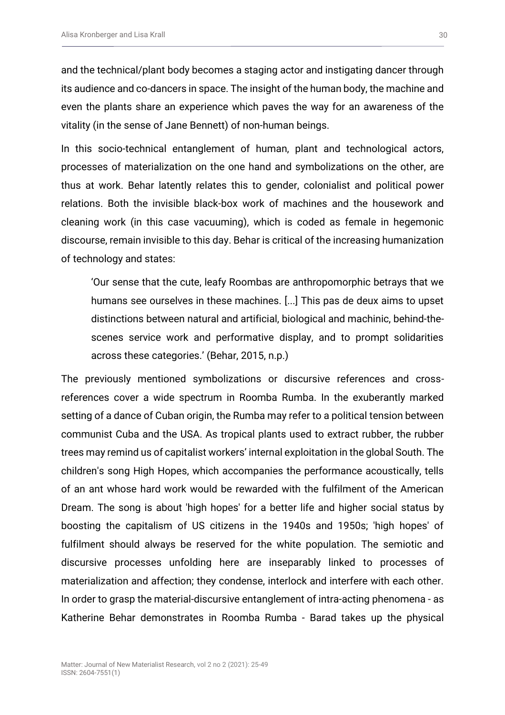and the technical/plant body becomes a staging actor and instigating dancer through its audience and co-dancers in space. The insight of the human body, the machine and even the plants share an experience which paves the way for an awareness of the vitality (in the sense of Jane Bennett) of non-human beings.

In this socio-technical entanglement of human, plant and technological actors, processes of materialization on the one hand and symbolizations on the other, are thus at work. Behar latently relates this to gender, colonialist and political power relations. Both the invisible black-box work of machines and the housework and cleaning work (in this case vacuuming), which is coded as female in hegemonic discourse, remain invisible to this day. Behar is critical of the increasing humanization of technology and states:

'Our sense that the cute, leafy Roombas are anthropomorphic betrays that we humans see ourselves in these machines. [...] This pas de deux aims to upset distinctions between natural and artificial, biological and machinic, behind-thescenes service work and performative display, and to prompt solidarities across these categories.' (Behar, 2015, n.p.)

The previously mentioned symbolizations or discursive references and crossreferences cover a wide spectrum in Roomba Rumba. In the exuberantly marked setting of a dance of Cuban origin, the Rumba may refer to a political tension between communist Cuba and the USA. As tropical plants used to extract rubber, the rubber trees may remind us of capitalist workers' internal exploitation in the global South. The children's song High Hopes, which accompanies the performance acoustically, tells of an ant whose hard work would be rewarded with the fulfilment of the American Dream. The song is about 'high hopes' for a better life and higher social status by boosting the capitalism of US citizens in the 1940s and 1950s; 'high hopes' of fulfilment should always be reserved for the white population. The semiotic and discursive processes unfolding here are inseparably linked to processes of materialization and affection; they condense, interlock and interfere with each other. In order to grasp the material-discursive entanglement of intra-acting phenomena - as Katherine Behar demonstrates in Roomba Rumba - Barad takes up the physical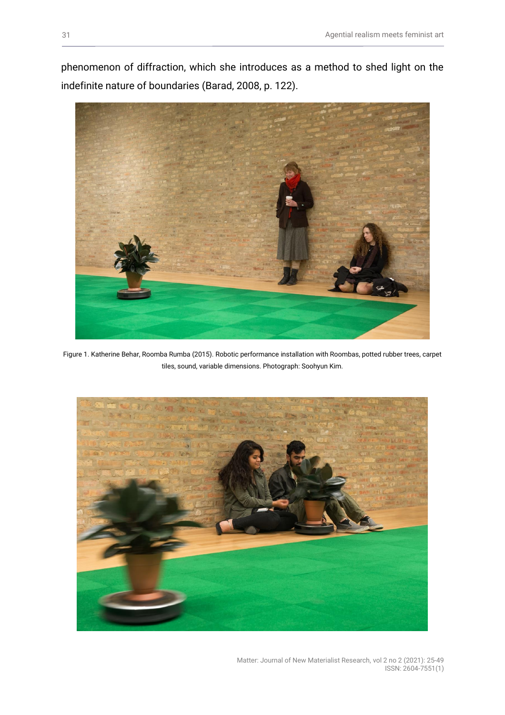phenomenon of diffraction, which she introduces as a method to shed light on the indefinite nature of boundaries (Barad, 2008, p. 122).



Figure 1. Katherine Behar, Roomba Rumba (2015). Robotic performance installation with Roombas, potted rubber trees, carpet tiles, sound, variable dimensions. Photograph: Soohyun Kim.



Matter: Journal of New Materialist Research, vol 2 no 2 (2021): 25-49 ISSN: 2604-7551(1)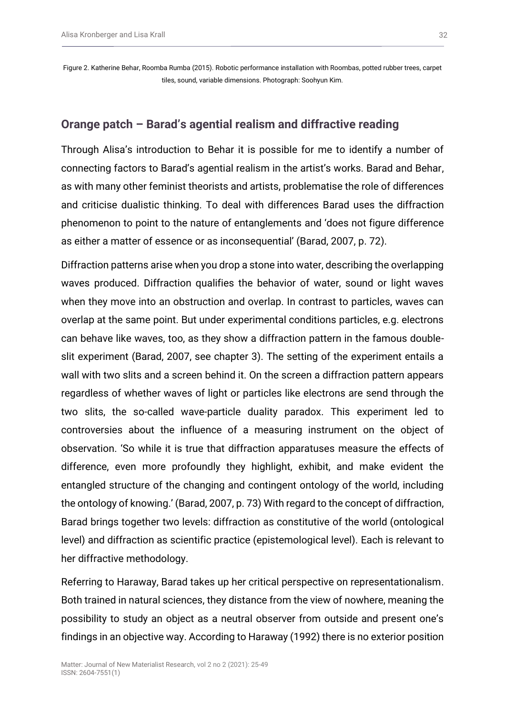#### **Orange patch – Barad's agential realism and diffractive reading**

Through Alisa's introduction to Behar it is possible for me to identify a number of connecting factors to Barad's agential realism in the artist's works. Barad and Behar, as with many other feminist theorists and artists, problematise the role of differences and criticise dualistic thinking. To deal with differences Barad uses the diffraction phenomenon to point to the nature of entanglements and 'does not figure difference as either a matter of essence or as inconsequential' (Barad, 2007, p. 72).

Diffraction patterns arise when you drop a stone into water, describing the overlapping waves produced. Diffraction qualifies the behavior of water, sound or light waves when they move into an obstruction and overlap. In contrast to particles, waves can overlap at the same point. But under experimental conditions particles, e.g. electrons can behave like waves, too, as they show a diffraction pattern in the famous doubleslit experiment (Barad, 2007, see chapter 3). The setting of the experiment entails a wall with two slits and a screen behind it. On the screen a diffraction pattern appears regardless of whether waves of light or particles like electrons are send through the two slits, the so-called wave-particle duality paradox. This experiment led to controversies about the influence of a measuring instrument on the object of observation. 'So while it is true that diffraction apparatuses measure the effects of difference, even more profoundly they highlight, exhibit, and make evident the entangled structure of the changing and contingent ontology of the world, including the ontology of knowing.' (Barad, 2007, p. 73) With regard to the concept of diffraction, Barad brings together two levels: diffraction as constitutive of the world (ontological level) and diffraction as scientific practice (epistemological level). Each is relevant to her diffractive methodology.

Referring to Haraway, Barad takes up her critical perspective on representationalism. Both trained in natural sciences, they distance from the view of nowhere, meaning the possibility to study an object as a neutral observer from outside and present one's findings in an objective way. According to Haraway (1992) there is no exterior position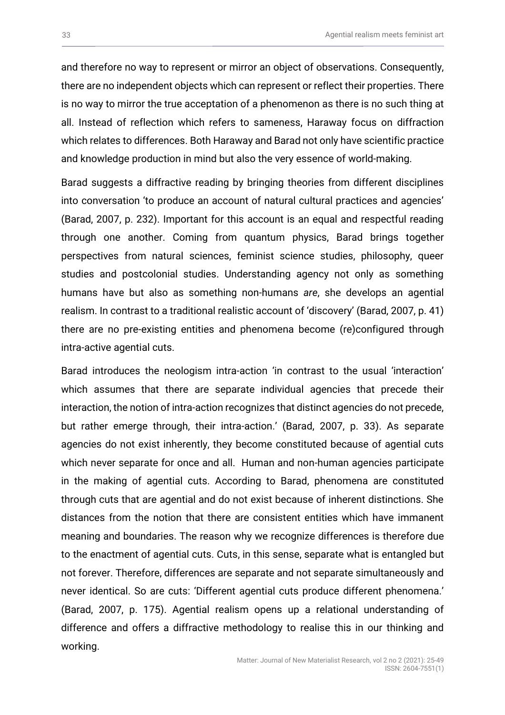and therefore no way to represent or mirror an object of observations. Consequently, there are no independent objects which can represent or reflect their properties. There is no way to mirror the true acceptation of a phenomenon as there is no such thing at all. Instead of reflection which refers to sameness, Haraway focus on diffraction which relates to differences. Both Haraway and Barad not only have scientific practice and knowledge production in mind but also the very essence of world-making.

Barad suggests a diffractive reading by bringing theories from different disciplines into conversation 'to produce an account of natural cultural practices and agencies' (Barad, 2007, p. 232). Important for this account is an equal and respectful reading through one another. Coming from quantum physics, Barad brings together perspectives from natural sciences, feminist science studies, philosophy, queer studies and postcolonial studies. Understanding agency not only as something humans have but also as something non-humans *are*, she develops an agential realism. In contrast to a traditional realistic account of 'discovery' (Barad, 2007, p. 41) there are no pre-existing entities and phenomena become (re)configured through intra-active agential cuts.

Barad introduces the neologism intra-action 'in contrast to the usual 'interaction' which assumes that there are separate individual agencies that precede their interaction, the notion of intra-action recognizes that distinct agencies do not precede, but rather emerge through, their intra-action.' (Barad, 2007, p. 33). As separate agencies do not exist inherently, they become constituted because of agential cuts which never separate for once and all. Human and non-human agencies participate in the making of agential cuts. According to Barad, phenomena are constituted through cuts that are agential and do not exist because of inherent distinctions. She distances from the notion that there are consistent entities which have immanent meaning and boundaries. The reason why we recognize differences is therefore due to the enactment of agential cuts. Cuts, in this sense, separate what is entangled but not forever. Therefore, differences are separate and not separate simultaneously and never identical. So are cuts: 'Different agential cuts produce different phenomena.' (Barad, 2007, p. 175). Agential realism opens up a relational understanding of difference and offers a diffractive methodology to realise this in our thinking and working.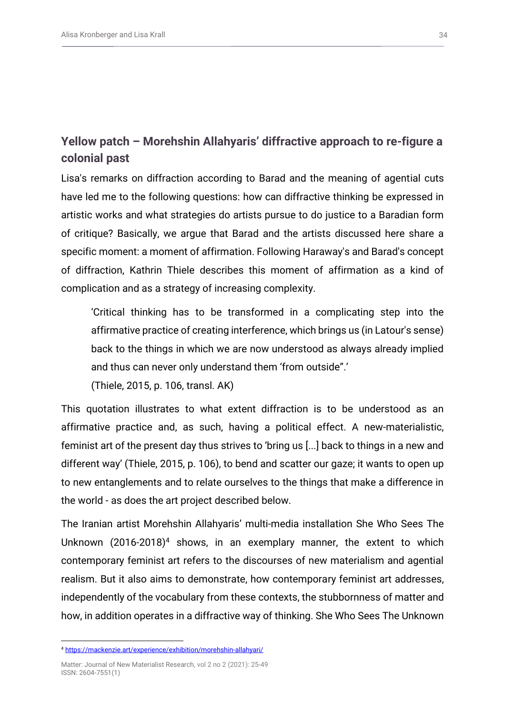# **Yellow patch – Morehshin Allahyaris' diffractive approach to re-figure a colonial past**

Lisa's remarks on diffraction according to Barad and the meaning of agential cuts have led me to the following questions: how can diffractive thinking be expressed in artistic works and what strategies do artists pursue to do justice to a Baradian form of critique? Basically, we argue that Barad and the artists discussed here share a specific moment: a moment of affirmation. Following Haraway's and Barad's concept of diffraction, Kathrin Thiele describes this moment of affirmation as a kind of complication and as a strategy of increasing complexity.

'Critical thinking has to be transformed in a complicating step into the affirmative practice of creating interference, which brings us (in Latour's sense) back to the things in which we are now understood as always already implied and thus can never only understand them 'from outside".'

(Thiele, 2015, p. 106, transl. AK)

This quotation illustrates to what extent diffraction is to be understood as an affirmative practice and, as such, having a political effect. A new-materialistic, feminist art of the present day thus strives to 'bring us [...] back to things in a new and different way' (Thiele, 2015, p. 106), to bend and scatter our gaze; it wants to open up to new entanglements and to relate ourselves to the things that make a difference in the world - as does the art project described below.

The Iranian artist Morehshin Allahyaris' multi-media installation She Who Sees The Unknown  $(2016-2018)^4$  shows, in an exemplary manner, the extent to which contemporary feminist art refers to the discourses of new materialism and agential realism. But it also aims to demonstrate, how contemporary feminist art addresses, independently of the vocabulary from these contexts, the stubbornness of matter and how, in addition operates in a diffractive way of thinking. She Who Sees The Unknown

<sup>4</sup> <https://mackenzie.art/experience/exhibition/morehshin-allahyari/>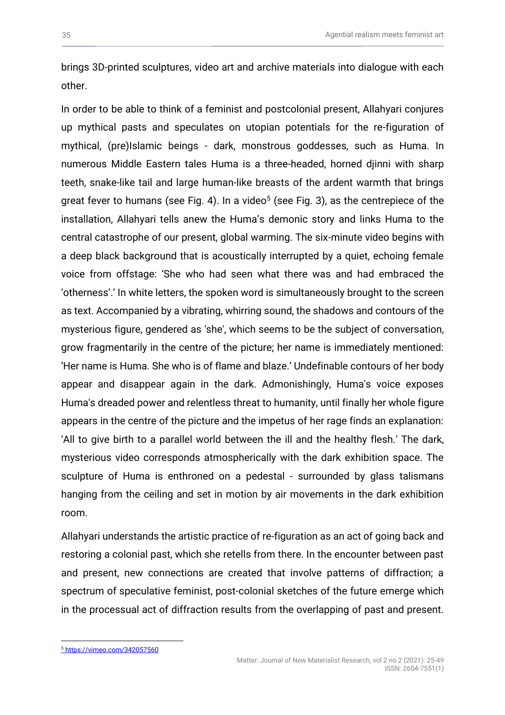brings 3D-printed sculptures, video art and archive materials into dialogue with each other.

In order to be able to think of a feminist and postcolonial present, Allahyari conjures up mythical pasts and speculates on utopian potentials for the re-figuration of mythical, (pre)Islamic beings - dark, monstrous goddesses, such as Huma. In numerous Middle Eastern tales Huma is a three-headed, horned djinni with sharp teeth, snake-like tail and large human-like breasts of the ardent warmth that brings great fever to humans (see Fig. 4). In a video<sup>5</sup> (see Fig. 3), as the centrepiece of the installation, Allahyari tells anew the Huma's demonic story and links Huma to the central catastrophe of our present, global warming. The six-minute video begins with a deep black background that is acoustically interrupted by a quiet, echoing female voice from offstage: 'She who had seen what there was and had embraced the 'otherness'.' In white letters, the spoken word is simultaneously brought to the screen as text. Accompanied by a vibrating, whirring sound, the shadows and contours of the mysterious figure, gendered as 'she', which seems to be the subject of conversation, grow fragmentarily in the centre of the picture; her name is immediately mentioned: 'Her name is Huma. She who is of flame and blaze.' Undefinable contours of her body appear and disappear again in the dark. Admonishingly, Huma's voice exposes Huma's dreaded power and relentless threat to humanity, until finally her whole figure appears in the centre of the picture and the impetus of her rage finds an explanation: 'All to give birth to a parallel world between the ill and the healthy flesh.' The dark, mysterious video corresponds atmospherically with the dark exhibition space. The sculpture of Huma is enthroned on a pedestal - surrounded by glass talismans hanging from the ceiling and set in motion by air movements in the dark exhibition room.

Allahyari understands the artistic practice of re-figuration as an act of going back and restoring a colonial past, which she retells from there. In the encounter between past and present, new connections are created that involve patterns of diffraction; a spectrum of speculative feminist, post-colonial sketches of the future emerge which in the processual act of diffraction results from the overlapping of past and present.

<sup>5</sup> <https://vimeo.com/342057560>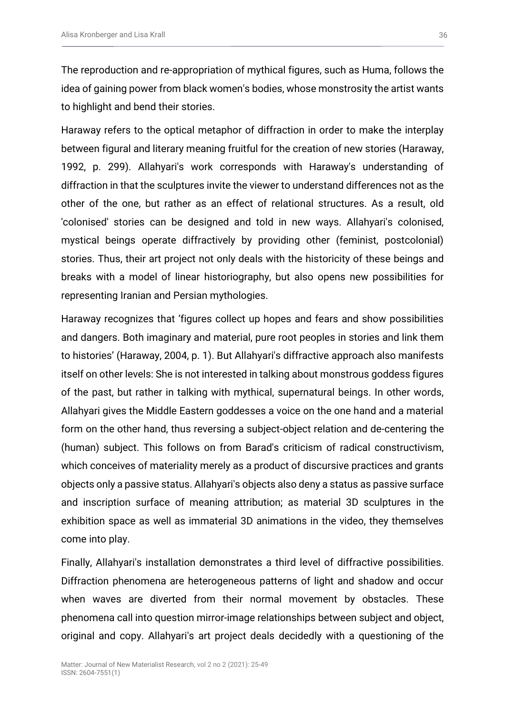The reproduction and re-appropriation of mythical figures, such as Huma, follows the idea of gaining power from black women's bodies, whose monstrosity the artist wants to highlight and bend their stories.

Haraway refers to the optical metaphor of diffraction in order to make the interplay between figural and literary meaning fruitful for the creation of new stories (Haraway, 1992, p. 299). Allahyari's work corresponds with Haraway's understanding of diffraction in that the sculptures invite the viewer to understand differences not as the other of the one, but rather as an effect of relational structures. As a result, old 'colonised' stories can be designed and told in new ways. Allahyari's colonised, mystical beings operate diffractively by providing other (feminist, postcolonial) stories. Thus, their art project not only deals with the historicity of these beings and breaks with a model of linear historiography, but also opens new possibilities for representing Iranian and Persian mythologies.

Haraway recognizes that 'figures collect up hopes and fears and show possibilities and dangers. Both imaginary and material, pure root peoples in stories and link them to histories' (Haraway, 2004, p. 1). But Allahyari's diffractive approach also manifests itself on other levels: She is not interested in talking about monstrous goddess figures of the past, but rather in talking with mythical, supernatural beings. In other words, Allahyari gives the Middle Eastern goddesses a voice on the one hand and a material form on the other hand, thus reversing a subject-object relation and de-centering the (human) subject. This follows on from Barad's criticism of radical constructivism, which conceives of materiality merely as a product of discursive practices and grants objects only a passive status. Allahyari's objects also deny a status as passive surface and inscription surface of meaning attribution; as material 3D sculptures in the exhibition space as well as immaterial 3D animations in the video, they themselves come into play.

Finally, Allahyari's installation demonstrates a third level of diffractive possibilities. Diffraction phenomena are heterogeneous patterns of light and shadow and occur when waves are diverted from their normal movement by obstacles. These phenomena call into question mirror-image relationships between subject and object, original and copy. Allahyari's art project deals decidedly with a questioning of the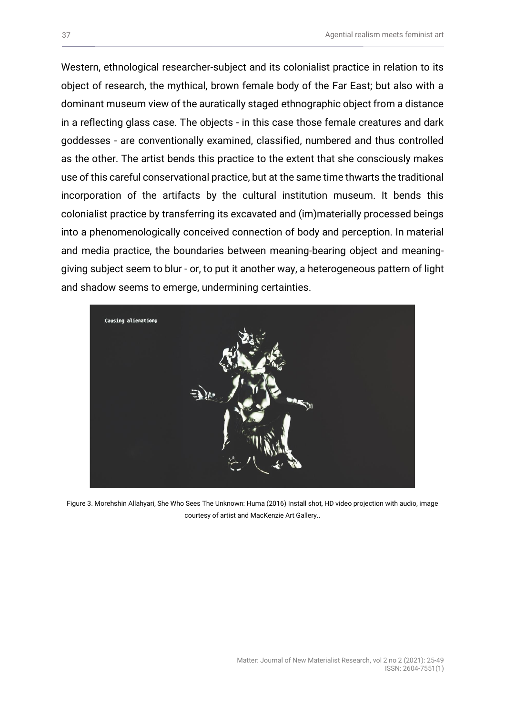Western, ethnological researcher-subject and its colonialist practice in relation to its object of research, the mythical, brown female body of the Far East; but also with a dominant museum view of the auratically staged ethnographic object from a distance in a reflecting glass case. The objects - in this case those female creatures and dark goddesses - are conventionally examined, classified, numbered and thus controlled as the other. The artist bends this practice to the extent that she consciously makes use of this careful conservational practice, but at the same time thwarts the traditional incorporation of the artifacts by the cultural institution museum. It bends this colonialist practice by transferring its excavated and (im)materially processed beings into a phenomenologically conceived connection of body and perception. In material and media practice, the boundaries between meaning-bearing object and meaninggiving subject seem to blur - or, to put it another way, a heterogeneous pattern of light and shadow seems to emerge, undermining certainties.



Figure 3. Morehshin Allahyari, She Who Sees The Unknown: Huma (2016) Install shot, HD video projection with audio, image courtesy of artist and MacKenzie Art Gallery..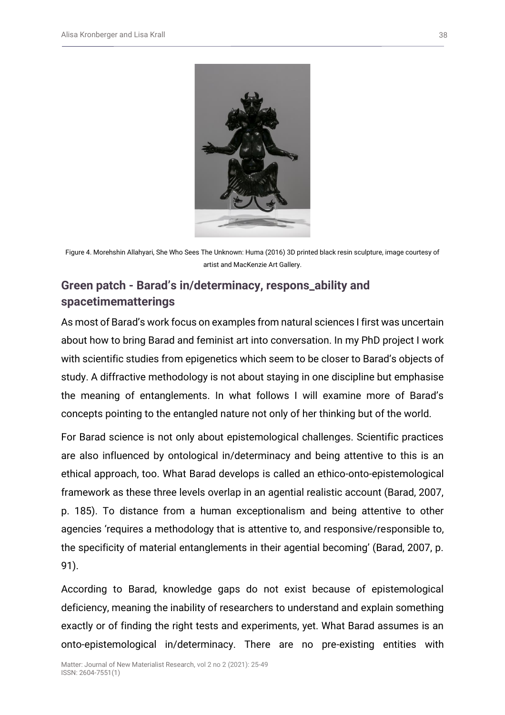

Figure 4. Morehshin Allahyari, She Who Sees The Unknown: Huma (2016) 3D printed black resin sculpture, image courtesy of artist and MacKenzie Art Gallery.

# **Green patch - Barad's in/determinacy, respons\_ability and spacetimematterings**

As most of Barad's work focus on examples from natural sciences I first was uncertain about how to bring Barad and feminist art into conversation. In my PhD project I work with scientific studies from epigenetics which seem to be closer to Barad's objects of study. A diffractive methodology is not about staying in one discipline but emphasise the meaning of entanglements. In what follows I will examine more of Barad's concepts pointing to the entangled nature not only of her thinking but of the world.

For Barad science is not only about epistemological challenges. Scientific practices are also influenced by ontological in/determinacy and being attentive to this is an ethical approach, too. What Barad develops is called an ethico-onto-epistemological framework as these three levels overlap in an agential realistic account (Barad, 2007, p. 185). To distance from a human exceptionalism and being attentive to other agencies 'requires a methodology that is attentive to, and responsive/responsible to, the specificity of material entanglements in their agential becoming' (Barad, 2007, p. 91).

According to Barad, knowledge gaps do not exist because of epistemological deficiency, meaning the inability of researchers to understand and explain something exactly or of finding the right tests and experiments, yet. What Barad assumes is an onto-epistemological in/determinacy. There are no pre-existing entities with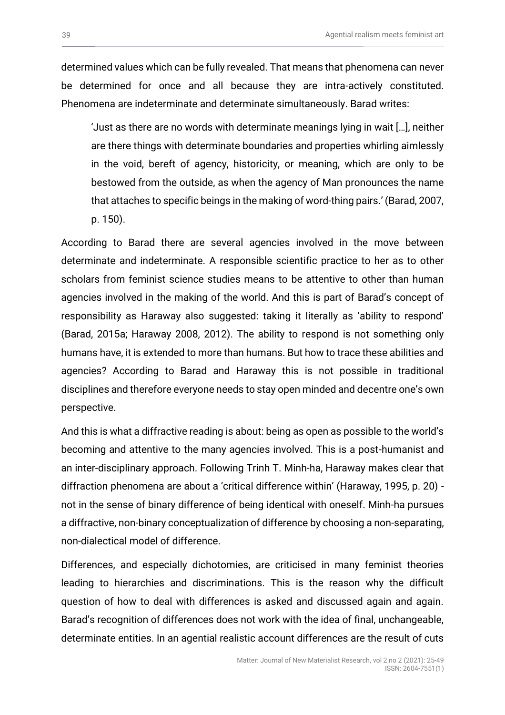determined values which can be fully revealed. That means that phenomena can never be determined for once and all because they are intra-actively constituted. Phenomena are indeterminate and determinate simultaneously. Barad writes:

'Just as there are no words with determinate meanings lying in wait […], neither are there things with determinate boundaries and properties whirling aimlessly in the void, bereft of agency, historicity, or meaning, which are only to be bestowed from the outside, as when the agency of Man pronounces the name that attaches to specific beings in the making of word-thing pairs.' (Barad, 2007, p. 150).

According to Barad there are several agencies involved in the move between determinate and indeterminate. A responsible scientific practice to her as to other scholars from feminist science studies means to be attentive to other than human agencies involved in the making of the world. And this is part of Barad's concept of responsibility as Haraway also suggested: taking it literally as 'ability to respond' (Barad, 2015a; Haraway 2008, 2012). The ability to respond is not something only humans have, it is extended to more than humans. But how to trace these abilities and agencies? According to Barad and Haraway this is not possible in traditional disciplines and therefore everyone needs to stay open minded and decentre one's own perspective.

And this is what a diffractive reading is about: being as open as possible to the world's becoming and attentive to the many agencies involved. This is a post-humanist and an inter-disciplinary approach. Following Trinh T. Minh-ha, Haraway makes clear that diffraction phenomena are about a 'critical difference within' (Haraway, 1995, p. 20) not in the sense of binary difference of being identical with oneself. Minh-ha pursues a diffractive, non-binary conceptualization of difference by choosing a non-separating, non-dialectical model of difference.

Differences, and especially dichotomies, are criticised in many feminist theories leading to hierarchies and discriminations. This is the reason why the difficult question of how to deal with differences is asked and discussed again and again. Barad's recognition of differences does not work with the idea of final, unchangeable, determinate entities. In an agential realistic account differences are the result of cuts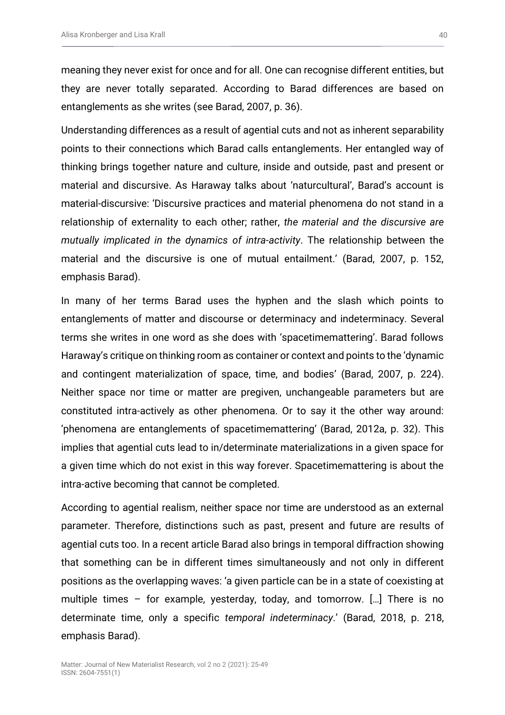meaning they never exist for once and for all. One can recognise different entities, but they are never totally separated. According to Barad differences are based on entanglements as she writes (see Barad, 2007, p. 36).

Understanding differences as a result of agential cuts and not as inherent separability points to their connections which Barad calls entanglements. Her entangled way of thinking brings together nature and culture, inside and outside, past and present or material and discursive. As Haraway talks about 'naturcultural', Barad's account is material-discursive: 'Discursive practices and material phenomena do not stand in a relationship of externality to each other; rather, *the material and the discursive are mutually implicated in the dynamics of intra-activity*. The relationship between the material and the discursive is one of mutual entailment.' (Barad, 2007, p. 152, emphasis Barad).

In many of her terms Barad uses the hyphen and the slash which points to entanglements of matter and discourse or determinacy and indeterminacy. Several terms she writes in one word as she does with 'spacetimemattering'. Barad follows Haraway's critique on thinking room as container or context and points to the 'dynamic and contingent materialization of space, time, and bodies' (Barad, 2007, p. 224). Neither space nor time or matter are pregiven, unchangeable parameters but are constituted intra-actively as other phenomena. Or to say it the other way around: 'phenomena are entanglements of spacetimemattering' (Barad, 2012a, p. 32). This implies that agential cuts lead to in/determinate materializations in a given space for a given time which do not exist in this way forever. Spacetimemattering is about the intra-active becoming that cannot be completed.

According to agential realism, neither space nor time are understood as an external parameter. Therefore, distinctions such as past, present and future are results of agential cuts too. In a recent article Barad also brings in temporal diffraction showing that something can be in different times simultaneously and not only in different positions as the overlapping waves: 'a given particle can be in a state of coexisting at multiple times – for example, yesterday, today, and tomorrow. […] There is no determinate time, only a specific *temporal indeterminacy*.' (Barad, 2018, p. 218, emphasis Barad).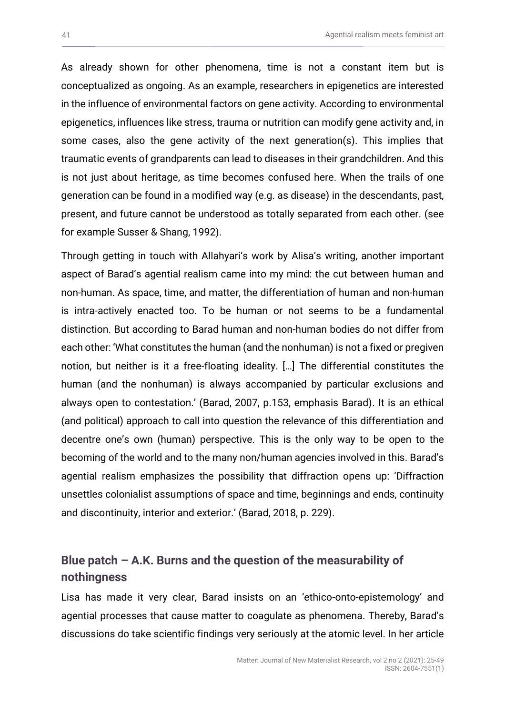As already shown for other phenomena, time is not a constant item but is conceptualized as ongoing. As an example, researchers in epigenetics are interested in the influence of environmental factors on gene activity. According to environmental epigenetics, influences like stress, trauma or nutrition can modify gene activity and, in some cases, also the gene activity of the next generation(s). This implies that traumatic events of grandparents can lead to diseases in their grandchildren. And this is not just about heritage, as time becomes confused here. When the trails of one generation can be found in a modified way (e.g. as disease) in the descendants, past, present, and future cannot be understood as totally separated from each other. (see for example Susser & Shang, 1992).

Through getting in touch with Allahyari's work by Alisa's writing, another important aspect of Barad's agential realism came into my mind: the cut between human and non-human. As space, time, and matter, the differentiation of human and non-human is intra-actively enacted too. To be human or not seems to be a fundamental distinction. But according to Barad human and non-human bodies do not differ from each other: 'What constitutes the human (and the nonhuman) is not a fixed or pregiven notion, but neither is it a free-floating ideality. […] The differential constitutes the human (and the nonhuman) is always accompanied by particular exclusions and always open to contestation.' (Barad, 2007, p.153, emphasis Barad). It is an ethical (and political) approach to call into question the relevance of this differentiation and decentre one's own (human) perspective. This is the only way to be open to the becoming of the world and to the many non/human agencies involved in this. Barad's agential realism emphasizes the possibility that diffraction opens up: 'Diffraction unsettles colonialist assumptions of space and time, beginnings and ends, continuity and discontinuity, interior and exterior.' (Barad, 2018, p. 229).

## **Blue patch – A.K. Burns and the question of the measurability of nothingness**

Lisa has made it very clear, Barad insists on an 'ethico-onto-epistemology' and agential processes that cause matter to coagulate as phenomena. Thereby, Barad's discussions do take scientific findings very seriously at the atomic level. In her article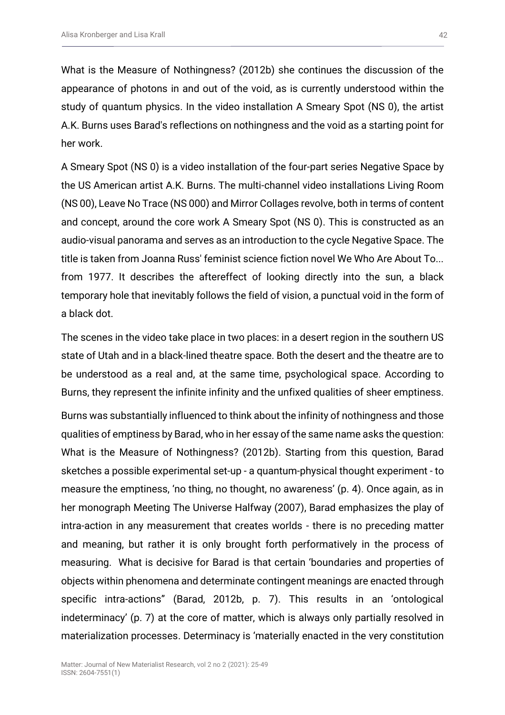What is the Measure of Nothingness? (2012b) she continues the discussion of the appearance of photons in and out of the void, as is currently understood within the study of quantum physics. In the video installation A Smeary Spot (NS 0), the artist A.K. Burns uses Barad's reflections on nothingness and the void as a starting point for her work.

A Smeary Spot (NS 0) is a video installation of the four-part series Negative Space by the US American artist A.K. Burns. The multi-channel video installations Living Room (NS 00), Leave No Trace (NS 000) and Mirror Collages revolve, both in terms of content and concept, around the core work A Smeary Spot (NS 0). This is constructed as an audio-visual panorama and serves as an introduction to the cycle Negative Space. The title is taken from Joanna Russ' feminist science fiction novel We Who Are About To... from 1977. It describes the aftereffect of looking directly into the sun, a black temporary hole that inevitably follows the field of vision, a punctual void in the form of a black dot.

The scenes in the video take place in two places: in a desert region in the southern US state of Utah and in a black-lined theatre space. Both the desert and the theatre are to be understood as a real and, at the same time, psychological space. According to Burns, they represent the infinite infinity and the unfixed qualities of sheer emptiness.

Burns was substantially influenced to think about the infinity of nothingness and those qualities of emptiness by Barad, who in her essay of the same name asks the question: What is the Measure of Nothingness? (2012b). Starting from this question, Barad sketches a possible experimental set-up - a quantum-physical thought experiment - to measure the emptiness, 'no thing, no thought, no awareness' (p. 4). Once again, as in her monograph Meeting The Universe Halfway (2007), Barad emphasizes the play of intra-action in any measurement that creates worlds - there is no preceding matter and meaning, but rather it is only brought forth performatively in the process of measuring. What is decisive for Barad is that certain 'boundaries and properties of objects within phenomena and determinate contingent meanings are enacted through specific intra-actions" (Barad, 2012b, p. 7). This results in an 'ontological indeterminacy' (p. 7) at the core of matter, which is always only partially resolved in materialization processes. Determinacy is 'materially enacted in the very constitution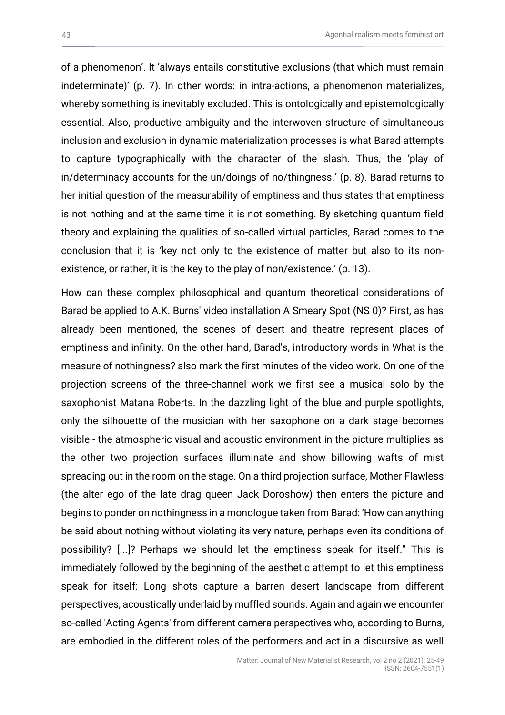of a phenomenon'. It 'always entails constitutive exclusions (that which must remain indeterminate)' (p. 7). In other words: in intra-actions, a phenomenon materializes, whereby something is inevitably excluded. This is ontologically and epistemologically essential. Also, productive ambiguity and the interwoven structure of simultaneous inclusion and exclusion in dynamic materialization processes is what Barad attempts to capture typographically with the character of the slash. Thus, the 'play of in/determinacy accounts for the un/doings of no/thingness.' (p. 8). Barad returns to her initial question of the measurability of emptiness and thus states that emptiness is not nothing and at the same time it is not something. By sketching quantum field theory and explaining the qualities of so-called virtual particles, Barad comes to the conclusion that it is 'key not only to the existence of matter but also to its nonexistence, or rather, it is the key to the play of non/existence.' (p. 13).

How can these complex philosophical and quantum theoretical considerations of Barad be applied to A.K. Burns' video installation A Smeary Spot (NS 0)? First, as has already been mentioned, the scenes of desert and theatre represent places of emptiness and infinity. On the other hand, Barad's, introductory words in What is the measure of nothingness? also mark the first minutes of the video work. On one of the projection screens of the three-channel work we first see a musical solo by the saxophonist Matana Roberts. In the dazzling light of the blue and purple spotlights, only the silhouette of the musician with her saxophone on a dark stage becomes visible - the atmospheric visual and acoustic environment in the picture multiplies as the other two projection surfaces illuminate and show billowing wafts of mist spreading out in the room on the stage. On a third projection surface, Mother Flawless (the alter ego of the late drag queen Jack Doroshow) then enters the picture and begins to ponder on nothingness in a monologue taken from Barad: 'How can anything be said about nothing without violating its very nature, perhaps even its conditions of possibility? [...]? Perhaps we should let the emptiness speak for itself." This is immediately followed by the beginning of the aesthetic attempt to let this emptiness speak for itself: Long shots capture a barren desert landscape from different perspectives, acoustically underlaid by muffled sounds. Again and again we encounter so-called 'Acting Agents' from different camera perspectives who, according to Burns, are embodied in the different roles of the performers and act in a discursive as well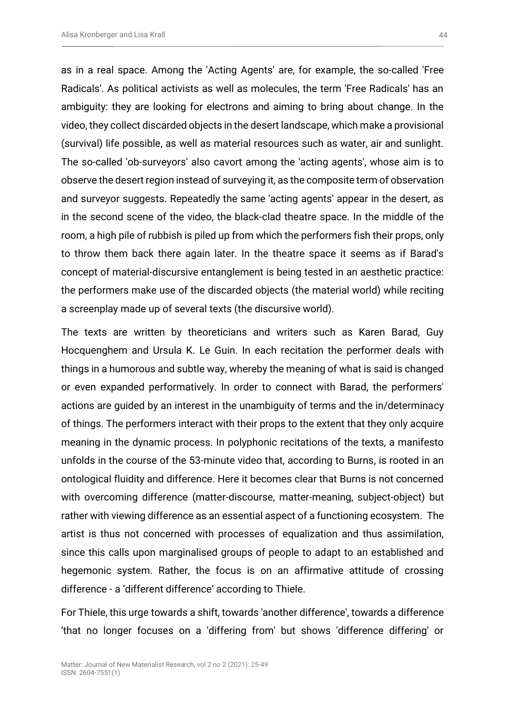as in a real space. Among the 'Acting Agents' are, for example, the so-called 'Free Radicals'. As political activists as well as molecules, the term 'Free Radicals' has an ambiguity: they are looking for electrons and aiming to bring about change. In the video, they collect discarded objects in the desert landscape, which make a provisional (survival) life possible, as well as material resources such as water, air and sunlight. The so-called 'ob-surveyors' also cavort among the 'acting agents', whose aim is to observe the desert region instead of surveying it, as the composite term of observation and surveyor suggests. Repeatedly the same 'acting agents' appear in the desert, as in the second scene of the video, the black-clad theatre space. In the middle of the room, a high pile of rubbish is piled up from which the performers fish their props, only to throw them back there again later. In the theatre space it seems as if Barad's concept of material-discursive entanglement is being tested in an aesthetic practice: the performers make use of the discarded objects (the material world) while reciting a screenplay made up of several texts (the discursive world).

The texts are written by theoreticians and writers such as Karen Barad, Guy Hocquenghem and Ursula K. Le Guin. In each recitation the performer deals with things in a humorous and subtle way, whereby the meaning of what is said is changed or even expanded performatively. In order to connect with Barad, the performers' actions are guided by an interest in the unambiguity of terms and the in/determinacy of things. The performers interact with their props to the extent that they only acquire meaning in the dynamic process. In polyphonic recitations of the texts, a manifesto unfolds in the course of the 53-minute video that, according to Burns, is rooted in an ontological fluidity and difference. Here it becomes clear that Burns is not concerned with overcoming difference (matter-discourse, matter-meaning, subject-object) but rather with viewing difference as an essential aspect of a functioning ecosystem. The artist is thus not concerned with processes of equalization and thus assimilation, since this calls upon marginalised groups of people to adapt to an established and hegemonic system. Rather, the focus is on an affirmative attitude of crossing difference - a 'different difference' according to Thiele.

For Thiele, this urge towards a shift, towards 'another difference', towards a difference 'that no longer focuses on a 'differing from' but shows 'difference differing' or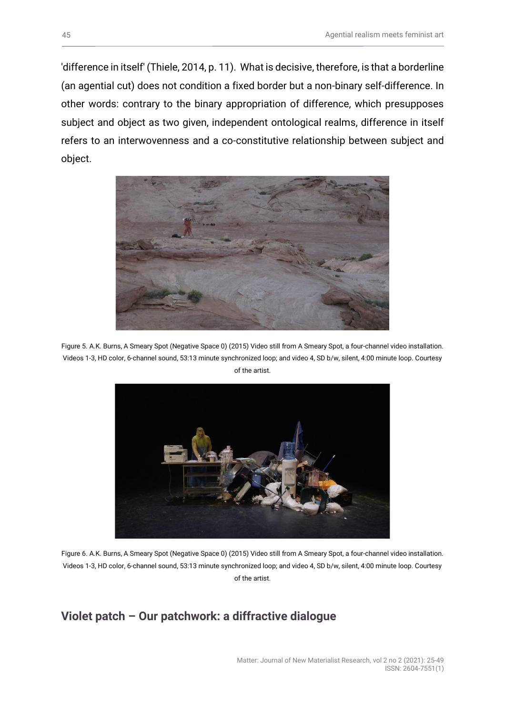'difference in itself' (Thiele, 2014, p. 11). What is decisive, therefore, is that a borderline (an agential cut) does not condition a fixed border but a non-binary self-difference. In other words: contrary to the binary appropriation of difference, which presupposes subject and object as two given, independent ontological realms, difference in itself refers to an interwovenness and a co-constitutive relationship between subject and object.



Figure 5. A.K. Burns, A Smeary Spot (Negative Space 0) (2015) Video still from A Smeary Spot, a four-channel video installation. Videos 1-3, HD color, 6-channel sound, 53:13 minute synchronized loop; and video 4, SD b/w, silent, 4:00 minute loop. Courtesy of the artist.



Figure 6. A.K. Burns, A Smeary Spot (Negative Space 0) (2015) Video still from A Smeary Spot, a four-channel video installation. Videos 1-3, HD color, 6-channel sound, 53:13 minute synchronized loop; and video 4, SD b/w, silent, 4:00 minute loop. Courtesy of the artist.

### **Violet patch – Our patchwork: a diffractive dialogue**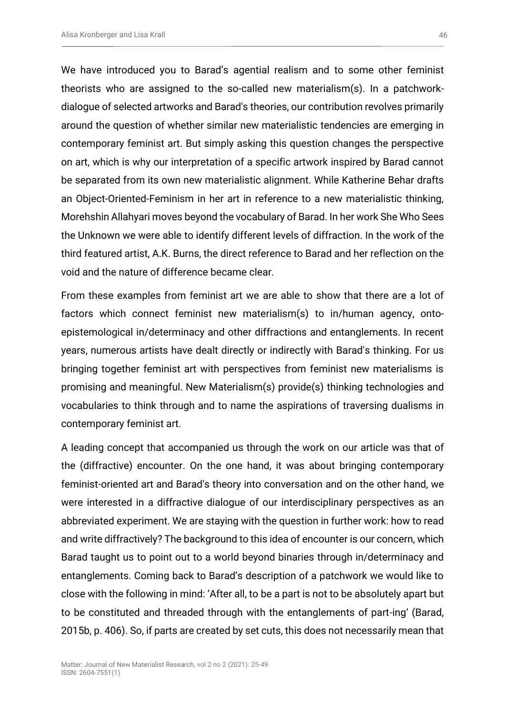We have introduced you to Barad's agential realism and to some other feminist theorists who are assigned to the so-called new materialism(s). In a patchworkdialogue of selected artworks and Barad's theories, our contribution revolves primarily around the question of whether similar new materialistic tendencies are emerging in contemporary feminist art. But simply asking this question changes the perspective on art, which is why our interpretation of a specific artwork inspired by Barad cannot be separated from its own new materialistic alignment. While Katherine Behar drafts an Object-Oriented-Feminism in her art in reference to a new materialistic thinking, Morehshin Allahyari moves beyond the vocabulary of Barad. In her work She Who Sees the Unknown we were able to identify different levels of diffraction. In the work of the third featured artist, A.K. Burns, the direct reference to Barad and her reflection on the void and the nature of difference became clear.

From these examples from feminist art we are able to show that there are a lot of factors which connect feminist new materialism(s) to in/human agency, ontoepistemological in/determinacy and other diffractions and entanglements. In recent years, numerous artists have dealt directly or indirectly with Barad's thinking. For us bringing together feminist art with perspectives from feminist new materialisms is promising and meaningful. New Materialism(s) provide(s) thinking technologies and vocabularies to think through and to name the aspirations of traversing dualisms in contemporary feminist art.

A leading concept that accompanied us through the work on our article was that of the (diffractive) encounter. On the one hand, it was about bringing contemporary feminist-oriented art and Barad's theory into conversation and on the other hand, we were interested in a diffractive dialogue of our interdisciplinary perspectives as an abbreviated experiment. We are staying with the question in further work: how to read and write diffractively? The background to this idea of encounter is our concern, which Barad taught us to point out to a world beyond binaries through in/determinacy and entanglements. Coming back to Barad's description of a patchwork we would like to close with the following in mind: 'After all, to be a part is not to be absolutely apart but to be constituted and threaded through with the entanglements of part-ing' (Barad, 2015b, p. 406). So, if parts are created by set cuts, this does not necessarily mean that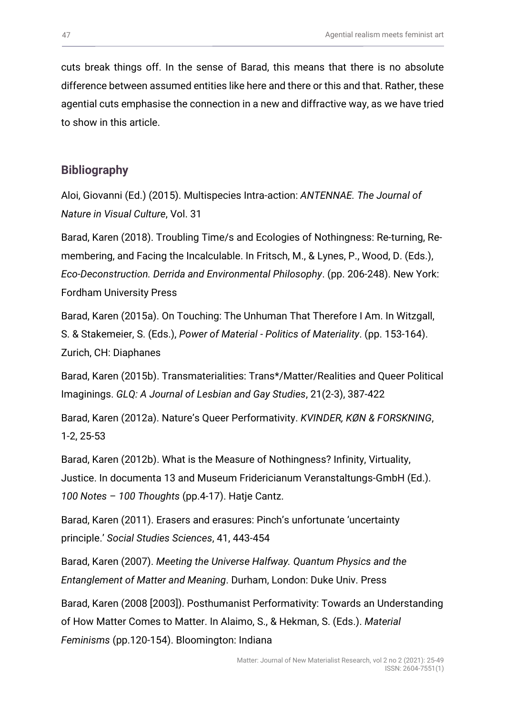cuts break things off. In the sense of Barad, this means that there is no absolute difference between assumed entities like here and there or this and that. Rather, these agential cuts emphasise the connection in a new and diffractive way, as we have tried to show in this article.

### **Bibliography**

Aloi, Giovanni (Ed.) (2015). Multispecies Intra-action: *ANTENNAE. The Journal of Nature in Visual Culture*, Vol. 31

Barad, Karen (2018). Troubling Time/s and Ecologies of Nothingness: Re-turning, Remembering, and Facing the Incalculable. In Fritsch, M., & Lynes, P., Wood, D. (Eds.), *Eco-Deconstruction. Derrida and Environmental Philosophy*. (pp. 206-248). New York: Fordham University Press

Barad, Karen (2015a). On Touching: The Unhuman That Therefore I Am. In Witzgall, S. & Stakemeier, S. (Eds.), *Power of Material - Politics of Materiality*. (pp. 153-164). Zurich, CH: Diaphanes

Barad, Karen (2015b). Transmaterialities: Trans\*/Matter/Realities and Queer Political Imaginings. *GLQ: A Journal of Lesbian and Gay Studies*, 21(2-3), 387-422

Barad, Karen (2012a). Nature's Queer Performativity. *KVINDER, KØN & FORSKNING*, 1-2, 25-53

Barad, Karen (2012b). What is the Measure of Nothingness? Infinity, Virtuality, Justice. In documenta 13 and Museum Fridericianum Veranstaltungs-GmbH (Ed.). *100 Notes – 100 Thoughts* (pp.4-17). Hatje Cantz.

Barad, Karen (2011). Erasers and erasures: Pinch's unfortunate 'uncertainty principle.' *Social Studies Sciences*, 41, 443-454

Barad, Karen (2007). *Meeting the Universe Halfway. Quantum Physics and the Entanglement of Matter and Meaning*. Durham, London: Duke Univ. Press

Barad, Karen (2008 [2003]). Posthumanist Performativity: Towards an Understanding of How Matter Comes to Matter. In Alaimo, S., & Hekman, S. (Eds.). *Material Feminisms* (pp.120-154). Bloomington: Indiana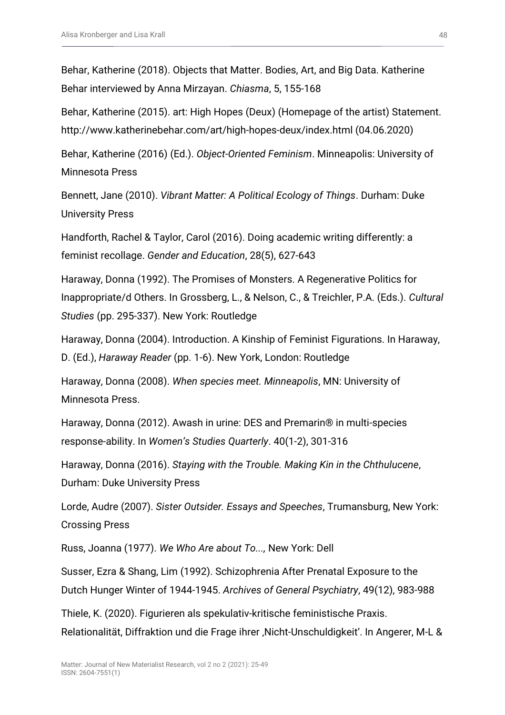Behar, Katherine (2018). Objects that Matter. Bodies, Art, and Big Data. Katherine Behar interviewed by Anna Mirzayan. *Chiasma*, 5, 155-168

Behar, Katherine (2015). art: High Hopes (Deux) (Homepage of the artist) Statement. http://www.katherinebehar.com/art/high-hopes-deux/index.html (04.06.2020)

Behar, Katherine (2016) (Ed.). *Object-Oriented Feminism*. Minneapolis: University of Minnesota Press

Bennett, Jane (2010). *Vibrant Matter: A Political Ecology of Things*. Durham: Duke University Press

Handforth, Rachel & Taylor, Carol (2016). Doing academic writing differently: a feminist recollage. *Gender and Education*, 28(5), 627-643

Haraway, Donna (1992). The Promises of Monsters. A Regenerative Politics for Inappropriate/d Others. In Grossberg, L., & Nelson, C., & Treichler, P.A. (Eds.). *Cultural Studies* (pp. 295-337). New York: Routledge

Haraway, Donna (2004). Introduction. A Kinship of Feminist Figurations. In Haraway, D. (Ed.), *Haraway Reader* (pp. 1-6). New York, London: Routledge

Haraway, Donna (2008). *When species meet. Minneapolis*, MN: University of Minnesota Press.

Haraway, Donna (2012). Awash in urine: DES and Premarin® in multi-species response-ability. In *Women's Studies Quarterly*. 40(1-2), 301-316

Haraway, Donna (2016). *Staying with the Trouble. Making Kin in the Chthulucene*, Durham: Duke University Press

Lorde, Audre (2007). *Sister Outsider. Essays and Speeches*, Trumansburg, New York: Crossing Press

Russ, Joanna (1977). *We Who Are about To...,* New York: Dell

Susser, Ezra & Shang, Lim (1992). Schizophrenia After Prenatal Exposure to the Dutch Hunger Winter of 1944-1945. *Archives of General Psychiatry*, 49(12), 983-988

Thiele, K. (2020). Figurieren als spekulativ-kritische feministische Praxis. Relationalität, Diffraktion und die Frage ihrer , Nicht-Unschuldigkeit'. In Angerer, M-L &